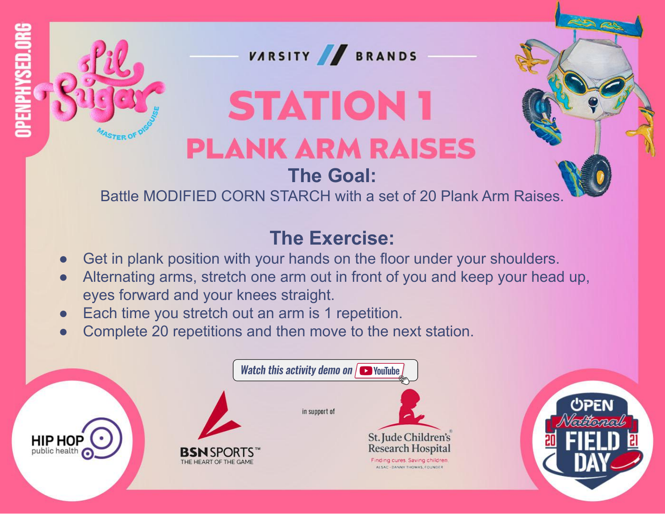

## **STATION 1 PLANK ARM RAISES**

#### **The Goal:**

Battle MODIFIED CORN STARCH with a set of 20 Plank Arm Raises.

- Get in plank position with your hands on the floor under your shoulders.
- Alternating arms, stretch one arm out in front of you and keep your head up, eyes forward and your knees straight.
- Each time you stretch out an arm is 1 repetition.
- Complete 20 repetitions and then move to the next station.

|                                 | <b>Watch this activity demo on <math>\sqrt{ }</math> VouTube</b> |                                                                                                                               |  |
|---------------------------------|------------------------------------------------------------------|-------------------------------------------------------------------------------------------------------------------------------|--|
| <b>HIP HOP</b><br>public health | <b>BSN</b> SPORTS <sup>**</sup><br>THE HEART OF THE GAME.        | in support of<br>St. Jude Children's<br>Research Hospital<br>Finding cures. Saving children.<br>ALSAC - DANNY THOMAS, FOUNDER |  |

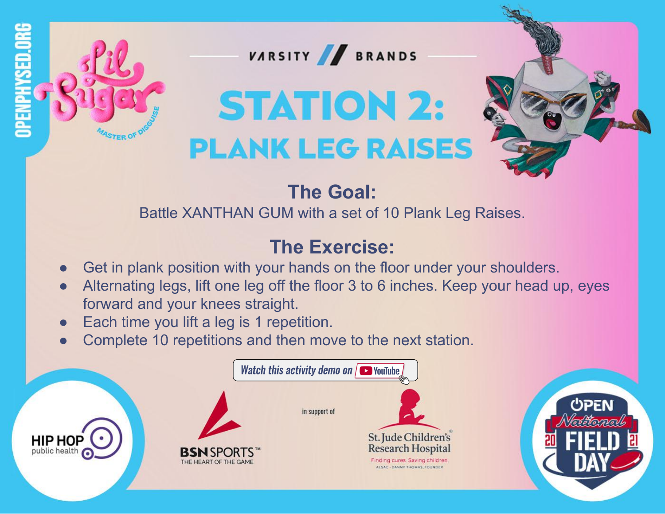



# **STATION 2: PLANK LEG RAISES**



#### **The Goal:**

Battle XANTHAN GUM with a set of 10 Plank Leg Raises.

- Get in plank position with your hands on the floor under your shoulders.
- Alternating legs, lift one leg off the floor 3 to 6 inches. Keep your head up, eyes forward and your knees straight.
- Each time you lift a leg is 1 repetition.
- Complete 10 repetitions and then move to the next station.

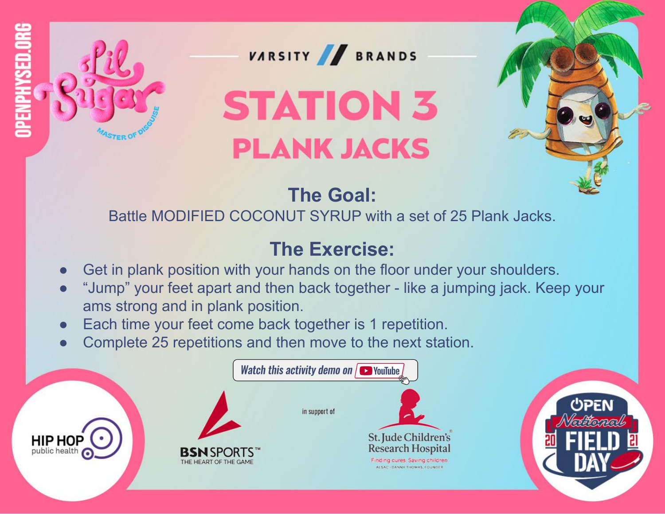





# **STATION 3 PLANK JACKS**

## **The Goal:**

Battle MODIFIED COCONUT SYRUP with a set of 25 Plank Jacks.

- Get in plank position with your hands on the floor under your shoulders.
- "Jump" your feet apart and then back together like a jumping jack. Keep your ams strong and in plank position.
- Each time your feet come back together is 1 repetition.
- Complete 25 repetitions and then move to the next station.

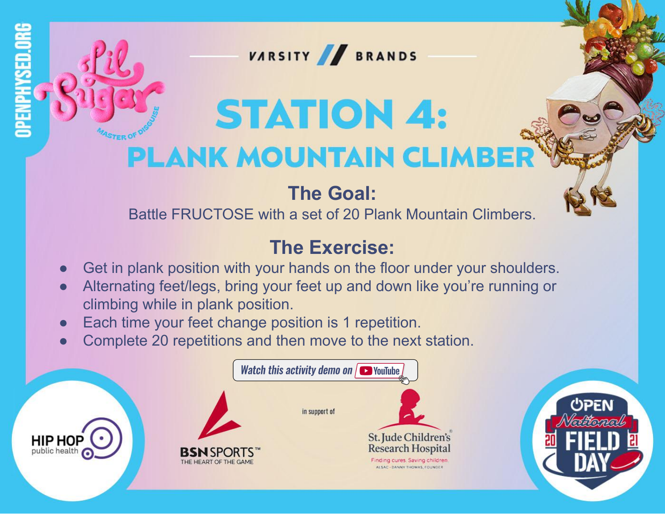

# **STATION 4: PLANK MOUNTAIN CLIMBER**

#### **The Goal:**

Battle FRUCTOSE with a set of 20 Plank Mountain Climbers.

- Get in plank position with your hands on the floor under your shoulders.
- Alternating feet/legs, bring your feet up and down like you're running or climbing while in plank position.
- Each time your feet change position is 1 repetition.
- Complete 20 repetitions and then move to the next station.

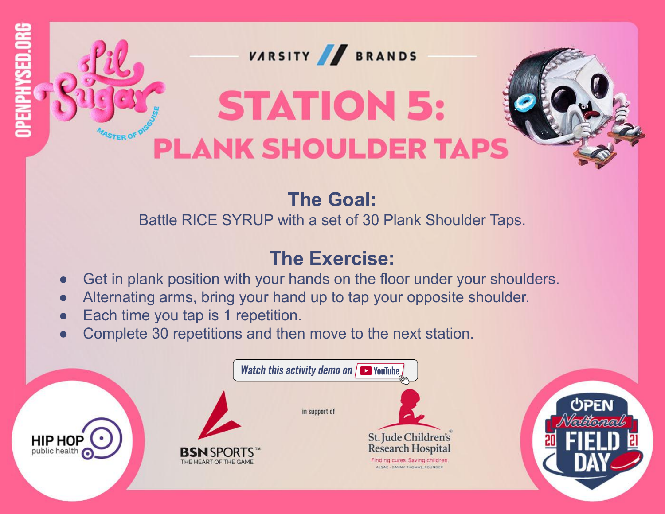

#### **The Goal:**

Battle RICE SYRUP with a set of 30 Plank Shoulder Taps.

- Get in plank position with your hands on the floor under your shoulders.
- Alternating arms, bring your hand up to tap your opposite shoulder.
- Each time you tap is 1 repetition.
- Complete 30 repetitions and then move to the next station.

|                                 |                                                          | <b>Watch this activity demo on <math>\sqrt{ }</math> VouTube</b>                                                                     |  |  |
|---------------------------------|----------------------------------------------------------|--------------------------------------------------------------------------------------------------------------------------------------|--|--|
| <b>HIP HOP</b><br>public health | <b>BSN</b> SPORTS <sup>**</sup><br>THE HEART OF THE GAME | in support of<br>St. Jude Children's<br><b>Research Hospital</b><br>Finding cures. Saving children.<br>ALSAC - DANNY THOMAS, FOUNDER |  |  |